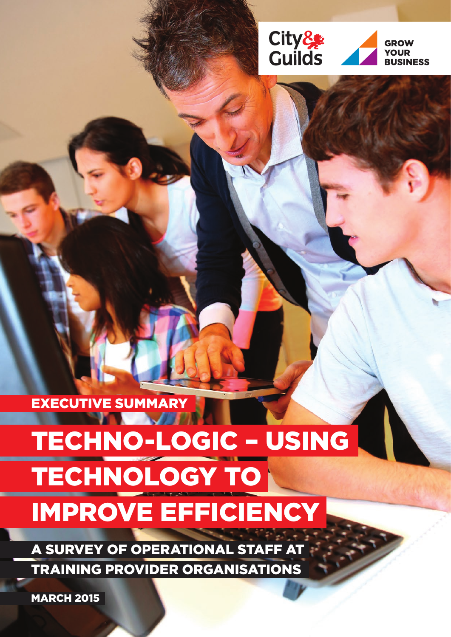

EXECUTIVE SUMMARY

# TECHNO-LOGIC – USING TECHNOLOGY TO IMPROVE EFFICIENCY

A SURVEY OF OPERATIONAL STAFF AT TRAINING PROVIDER ORGANISATIONS

**MARCH 2015**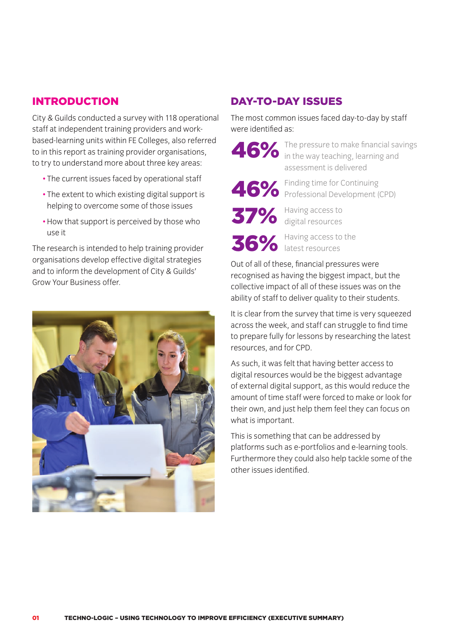## INTRODUCTION

City & Guilds conducted a survey with 118 operational staff at independent training providers and workbased-learning units within FE Colleges, also referred to in this report as training provider organisations, to try to understand more about three key areas:

- The current issues faced by operational staff
- The extent to which existing digital support is helping to overcome some of those issues
- How that support is perceived by those who use it

The research is intended to help training provider organisations develop effective digital strategies and to inform the development of City & Guilds' Grow Your Business offer.



## DAY-TO-DAY ISSUES

The most common issues faced day-to-day by staff were identified as:

The pressure to make financial savings 46% The pressure to make financial sate of the way teaching, learning and assessment is delivered

Finding time for Continuing

46% Finding time for Continuing<br>Professional Development (CPD)

Having access to 37% Having access to

Having access to the 36% Having access to

Out of all of these, financial pressures were recognised as having the biggest impact, but the collective impact of all of these issues was on the ability of staff to deliver quality to their students.

It is clear from the survey that time is very squeezed across the week, and staff can struggle to find time to prepare fully for lessons by researching the latest resources, and for CPD.

As such, it was felt that having better access to digital resources would be the biggest advantage of external digital support, as this would reduce the amount of time staff were forced to make or look for their own, and just help them feel they can focus on what is important.

This is something that can be addressed by platforms such as e-portfolios and e-learning tools. Furthermore they could also help tackle some of the other issues identified.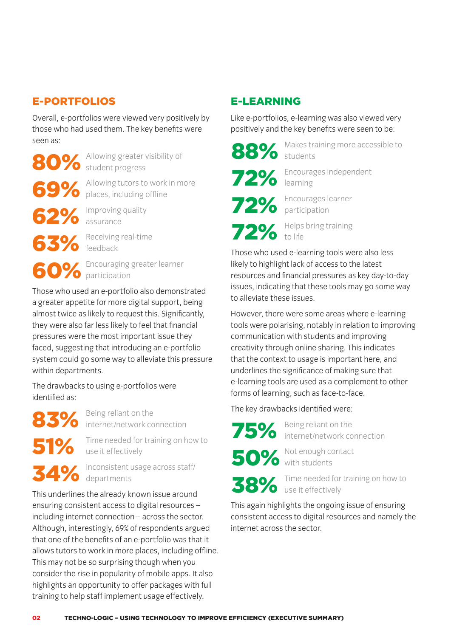# E-PORTFOLIOS

Overall, e-portfolios were viewed very positively by those who had used them. The key benefits were seen as:

Allowing greater visibility of **80%** Allowing greater visibility of **88%** 

Allowing tutors to work in more 69% Allowing tutors to work in more 72%

Improving quality **62%** Improving quality<br> **62%** assurance

Receiving real-time France Constanting real-time<br>
France Constant Construction of the Constant Construction of the Construction of the Construction of the Const<br>
Those who us

Encouraging greater learner 60% Encouraging

Those who used an e-portfolio also demonstrated a greater appetite for more digital support, being almost twice as likely to request this. Significantly, they were also far less likely to feel that financial pressures were the most important issue they faced, suggesting that introducing an e-portfolio system could go some way to alleviate this pressure within departments.

The drawbacks to using e-portfolios were identified as:

Being reliant on the internet/network connection **83%** Being reliant on the The Rey draw<br>
FEO Time needed for training on how to

Time needed for training on how to use it effectively 51% Time needed for training on how to<br>use it effectively<br>and the consistent usage across staff/

Inconsistent usage across staff/ departments 34% Inconsistent usage across staff/<br>This underlines the already known issue around

This underlines the already known issue around ensuring consistent access to digital resources – including internet connection – across the sector. Although, interestingly, 69% of respondents argued that one of the benefits of an e-portfolio was that it allows tutors to work in more places, including offline. This may not be so surprising though when you consider the rise in popularity of mobile apps. It also highlights an opportunity to offer packages with full training to help staff implement usage effectively.

# E-LEARNING

Like e-portfolios, e-learning was also viewed very positively and the key benefits were seen to be:



Makes training more accessible to students

learning Encourages learner

Encourages independent

Helps bring training to life

participation

Those who used e-learning tools were also less likely to highlight lack of access to the latest resources and financial pressures as key day-to-day issues, indicating that these tools may go some way to alleviate these issues.

However, there were some areas where e-learning tools were polarising, notably in relation to improving communication with students and improving creativity through online sharing. This indicates that the context to usage is important here, and underlines the significance of making sure that e-learning tools are used as a complement to other forms of learning, such as face-to-face.

The key drawbacks identified were:

Being reliant on the internet/network connection

Not enough contact with students

Time needed for training on how to

use it effectively

This again highlights the ongoing issue of ensuring consistent access to digital resources and namely the internet across the sector.